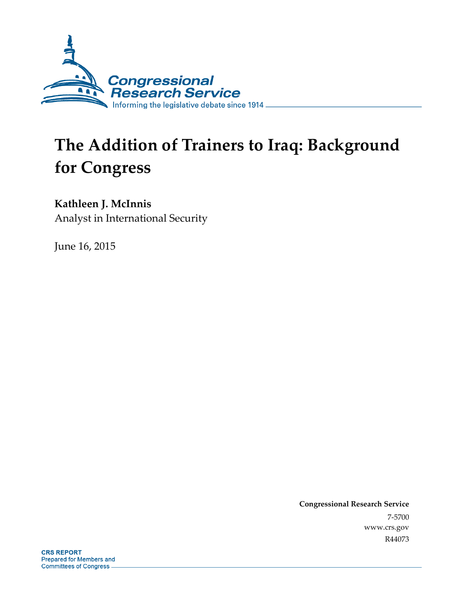

# **The Addition of Trainers to Iraq: Background for Congress**

### **Kathleen J. McInnis**

Analyst in International Security

June 16, 2015

**Congressional Research Service**  7-5700 www.crs.gov R44073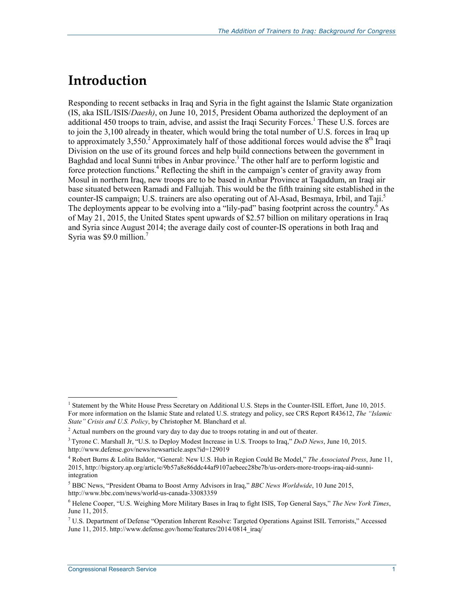## **Introduction**

Responding to recent setbacks in Iraq and Syria in the fight against the Islamic State organization (IS, aka ISIL/ISIS/*Daesh)*, on June 10, 2015, President Obama authorized the deployment of an additional 450 troops to train, advise, and assist the Iraqi Security Forces.<sup>1</sup> These U.S. forces are to join the 3,100 already in theater, which would bring the total number of U.S. forces in Iraq up to approximately 3,550.<sup>2</sup> Approximately half of those additional forces would advise the  $8<sup>th</sup>$  Iraqi Division on the use of its ground forces and help build connections between the government in Baghdad and local Sunni tribes in Anbar province.<sup>3</sup> The other half are to perform logistic and force protection functions.<sup>4</sup> Reflecting the shift in the campaign's center of gravity away from Mosul in northern Iraq, new troops are to be based in Anbar Province at Taqaddum, an Iraqi air base situated between Ramadi and Fallujah. This would be the fifth training site established in the counter-IS campaign; U.S. trainers are also operating out of Al-Asad, Besmaya, Irbil, and Taji.<sup>5</sup> The deployments appear to be evolving into a "lily-pad" basing footprint across the country.<sup> $\delta$ </sup> As of May 21, 2015, the United States spent upwards of \$2.57 billion on military operations in Iraq and Syria since August 2014; the average daily cost of counter-IS operations in both Iraq and Syria was \$9.0 million.7

1

<sup>&</sup>lt;sup>1</sup> Statement by the White House Press Secretary on Additional U.S. Steps in the Counter-ISIL Effort, June 10, 2015. For more information on the Islamic State and related U.S. strategy and policy, see CRS Report R43612, *The "Islamic State" Crisis and U.S. Policy*, by Christopher M. Blanchard et al.

 $2$  Actual numbers on the ground vary day to day due to troops rotating in and out of theater.

<sup>3</sup> Tyrone C. Marshall Jr, "U.S. to Deploy Modest Increase in U.S. Troops to Iraq," *DoD News*, June 10, 2015. http://www.defense.gov/news/newsarticle.aspx?id=129019

<sup>4</sup> Robert Burns & Lolita Baldor, "General: New U.S. Hub in Region Could Be Model," *The Associated Press*, June 11, 2015, http://bigstory.ap.org/article/9b57a8e86ddc44af9107aebeec28be7b/us-orders-more-troops-iraq-aid-sunniintegration

<sup>5</sup> BBC News, "President Obama to Boost Army Advisors in Iraq," *BBC News Worldwide*, 10 June 2015, http://www.bbc.com/news/world-us-canada-33083359

<sup>6</sup> Helene Cooper, "U.S. Weighing More Military Bases in Iraq to fight ISIS, Top General Says," *The New York Times*, June 11, 2015.

<sup>7</sup> U.S. Department of Defense "Operation Inherent Resolve: Targeted Operations Against ISIL Terrorists," Accessed June 11, 2015. http://www.defense.gov/home/features/2014/0814\_iraq/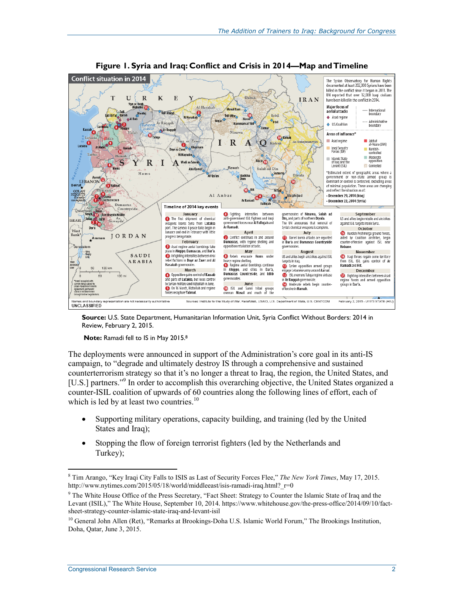

**Figure 1. Syria and Iraq: Conflict and Crisis in 2014—Map and Timeline** 

**Source:** U.S. State Department, Humanitarian Information Unit, Syria Conflict Without Borders: 2014 in Review, February 2, 2015.

 **Note:** Ramadi fell to IS in May 2015.8

The deployments were announced in support of the Administration's core goal in its anti-IS campaign, to "degrade and ultimately destroy IS through a comprehensive and sustained counterterrorism strategy so that it's no longer a threat to Iraq, the region, the United States, and [U.S.] partners."<sup>9</sup> In order to accomplish this overarching objective, the United States organized a counter-ISIL coalition of upwards of 60 countries along the following lines of effort, each of which is led by at least two countries. $10$ 

- Supporting military operations, capacity building, and training (led by the United States and Iraq);
- Stopping the flow of foreign terrorist fighters (led by the Netherlands and Turkey);

1

<sup>8</sup> Tim Arango, "Key Iraqi City Falls to ISIS as Last of Security Forces Flee," *The New York Times*, May 17, 2015. http://www.nytimes.com/2015/05/18/world/middleeast/isis-ramadi-iraq.html?\_r=0

<sup>&</sup>lt;sup>9</sup> The White House Office of the Press Secretary, "Fact Sheet: Strategy to Counter the Islamic State of Iraq and the Levant (ISIL)," The White House, September 10, 2014. https://www.whitehouse.gov/the-press-office/2014/09/10/factsheet-strategy-counter-islamic-state-iraq-and-levant-isil

<sup>&</sup>lt;sup>10</sup> General John Allen (Ret), "Remarks at Brookings-Doha U.S. Islamic World Forum," The Brookings Institution, Doha, Qatar, June 3, 2015.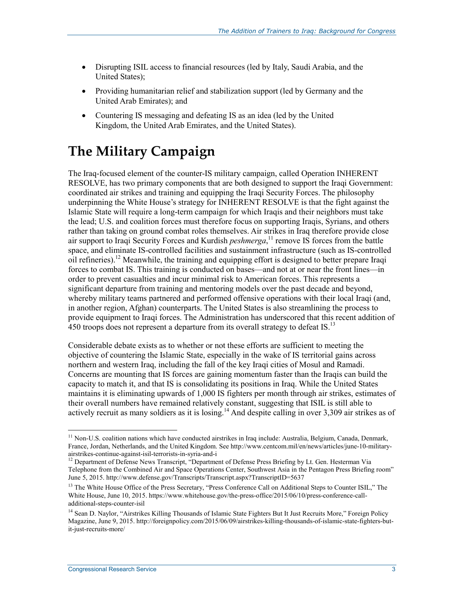- Disrupting ISIL access to financial resources (led by Italy, Saudi Arabia, and the United States);
- Providing humanitarian relief and stabilization support (led by Germany and the United Arab Emirates); and
- Countering IS messaging and defeating IS as an idea (led by the United Kingdom, the United Arab Emirates, and the United States).

# **The Military Campaign**

The Iraq-focused element of the counter-IS military campaign, called Operation INHERENT RESOLVE, has two primary components that are both designed to support the Iraqi Government: coordinated air strikes and training and equipping the Iraqi Security Forces. The philosophy underpinning the White House's strategy for INHERENT RESOLVE is that the fight against the Islamic State will require a long-term campaign for which Iraqis and their neighbors must take the lead; U.S. and coalition forces must therefore focus on supporting Iraqis, Syrians, and others rather than taking on ground combat roles themselves. Air strikes in Iraq therefore provide close air support to Iraqi Security Forces and Kurdish *peshmerga*, 11 remove IS forces from the battle space, and eliminate IS-controlled facilities and sustainment infrastructure (such as IS-controlled oil refineries).12 Meanwhile, the training and equipping effort is designed to better prepare Iraqi forces to combat IS. This training is conducted on bases—and not at or near the front lines—in order to prevent casualties and incur minimal risk to American forces. This represents a significant departure from training and mentoring models over the past decade and beyond, whereby military teams partnered and performed offensive operations with their local Iraqi (and, in another region, Afghan) counterparts. The United States is also streamlining the process to provide equipment to Iraqi forces. The Administration has underscored that this recent addition of 450 troops does not represent a departure from its overall strategy to defeat IS.<sup>13</sup>

Considerable debate exists as to whether or not these efforts are sufficient to meeting the objective of countering the Islamic State, especially in the wake of IS territorial gains across northern and western Iraq, including the fall of the key Iraqi cities of Mosul and Ramadi. Concerns are mounting that IS forces are gaining momentum faster than the Iraqis can build the capacity to match it, and that IS is consolidating its positions in Iraq. While the United States maintains it is eliminating upwards of 1,000 IS fighters per month through air strikes, estimates of their overall numbers have remained relatively constant, suggesting that ISIL is still able to actively recruit as many soldiers as it is losing.14 And despite calling in over 3,309 air strikes as of

1

 $<sup>11</sup>$  Non-U.S. coalition nations which have conducted airstrikes in Iraq include: Australia, Belgium, Canada, Denmark,</sup> France, Jordan, Netherlands, and the United Kingdom. See http://www.centcom.mil/en/news/articles/june-10-militaryairstrikes-continue-against-isil-terrorists-in-syria-and-i<br><sup>12</sup> Department of Defense News Transcript, "Department of Defense Press Briefing by Lt. Gen. Hesterman Via

Telephone from the Combined Air and Space Operations Center, Southwest Asia in the Pentagon Press Briefing room" June 5, 2015. http://www.defense.gov/Transcripts/Transcript.aspx?TranscriptID=5637

<sup>&</sup>lt;sup>13</sup> The White House Office of the Press Secretary, "Press Conference Call on Additional Steps to Counter ISIL," The White House, June 10, 2015. https://www.whitehouse.gov/the-press-office/2015/06/10/press-conference-calladditional-steps-counter-isil

<sup>&</sup>lt;sup>14</sup> Sean D. Naylor, "Airstrikes Killing Thousands of Islamic State Fighters But It Just Recruits More," Foreign Policy Magazine, June 9, 2015. http://foreignpolicy.com/2015/06/09/airstrikes-killing-thousands-of-islamic-state-fighters-butit-just-recruits-more/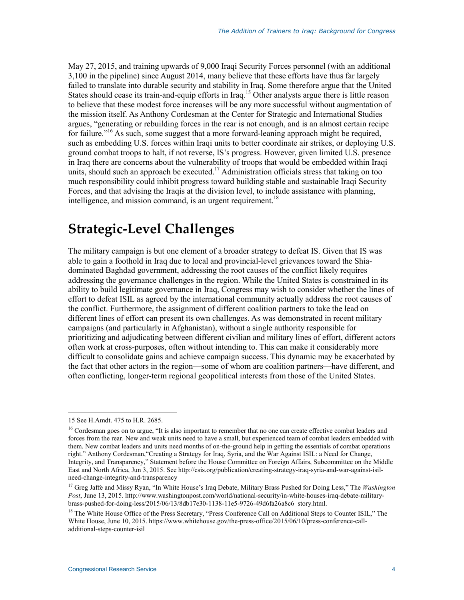May 27, 2015, and training upwards of 9,000 Iraqi Security Forces personnel (with an additional 3,100 in the pipeline) since August 2014, many believe that these efforts have thus far largely failed to translate into durable security and stability in Iraq. Some therefore argue that the United States should cease its train-and-equip efforts in Iraq.<sup>15</sup> Other analysts argue there is little reason to believe that these modest force increases will be any more successful without augmentation of the mission itself. As Anthony Cordesman at the Center for Strategic and International Studies argues, "generating or rebuilding forces in the rear is not enough, and is an almost certain recipe for failure."<sup>16</sup> As such, some suggest that a more forward-leaning approach might be required, such as embedding U.S. forces within Iraqi units to better coordinate air strikes, or deploying U.S. ground combat troops to halt, if not reverse, IS's progress. However, given limited U.S. presence in Iraq there are concerns about the vulnerability of troops that would be embedded within Iraqi units, should such an approach be executed.<sup>17</sup> Administration officials stress that taking on too much responsibility could inhibit progress toward building stable and sustainable Iraqi Security Forces, and that advising the Iraqis at the division level, to include assistance with planning, intelligence, and mission command, is an urgent requirement.<sup>18</sup>

## **Strategic-Level Challenges**

The military campaign is but one element of a broader strategy to defeat IS. Given that IS was able to gain a foothold in Iraq due to local and provincial-level grievances toward the Shiadominated Baghdad government, addressing the root causes of the conflict likely requires addressing the governance challenges in the region. While the United States is constrained in its ability to build legitimate governance in Iraq, Congress may wish to consider whether the lines of effort to defeat ISIL as agreed by the international community actually address the root causes of the conflict. Furthermore, the assignment of different coalition partners to take the lead on different lines of effort can present its own challenges. As was demonstrated in recent military campaigns (and particularly in Afghanistan), without a single authority responsible for prioritizing and adjudicating between different civilian and military lines of effort, different actors often work at cross-purposes, often without intending to. This can make it considerably more difficult to consolidate gains and achieve campaign success. This dynamic may be exacerbated by the fact that other actors in the region—some of whom are coalition partners—have different, and often conflicting, longer-term regional geopolitical interests from those of the United States.

<u>.</u>

<sup>15</sup> See H.Amdt. 475 to H.R. 2685.

<sup>&</sup>lt;sup>16</sup> Cordesman goes on to argue, "It is also important to remember that no one can create effective combat leaders and forces from the rear. New and weak units need to have a small, but experienced team of combat leaders embedded with them. New combat leaders and units need months of on-the-ground help in getting the essentials of combat operations right." Anthony Cordesman,"Creating a Strategy for Iraq, Syria, and the War Against ISIL: a Need for Change, Integrity, and Transparency," Statement before the House Committee on Foreign Affairs, Subcommittee on the Middle East and North Africa, Jun 3, 2015. See http://csis.org/publication/creating-strategy-iraq-syria-and-war-against-isilneed-change-integrity-and-transparency

<sup>17</sup> Greg Jaffe and Missy Ryan, "In White House's Iraq Debate, Military Brass Pushed for Doing Less," The *Washington Post*, June 13, 2015. http://www.washingtonpost.com/world/national-security/in-white-houses-iraq-debate-militarybrass-pushed-for-doing-less/2015/06/13/8db17e30-1138-11e5-9726-49d6fa26a8c6\_story.html.

<sup>&</sup>lt;sup>18</sup> The White House Office of the Press Secretary, "Press Conference Call on Additional Steps to Counter ISIL," The White House, June 10, 2015. https://www.whitehouse.gov/the-press-office/2015/06/10/press-conference-calladditional-steps-counter-isil